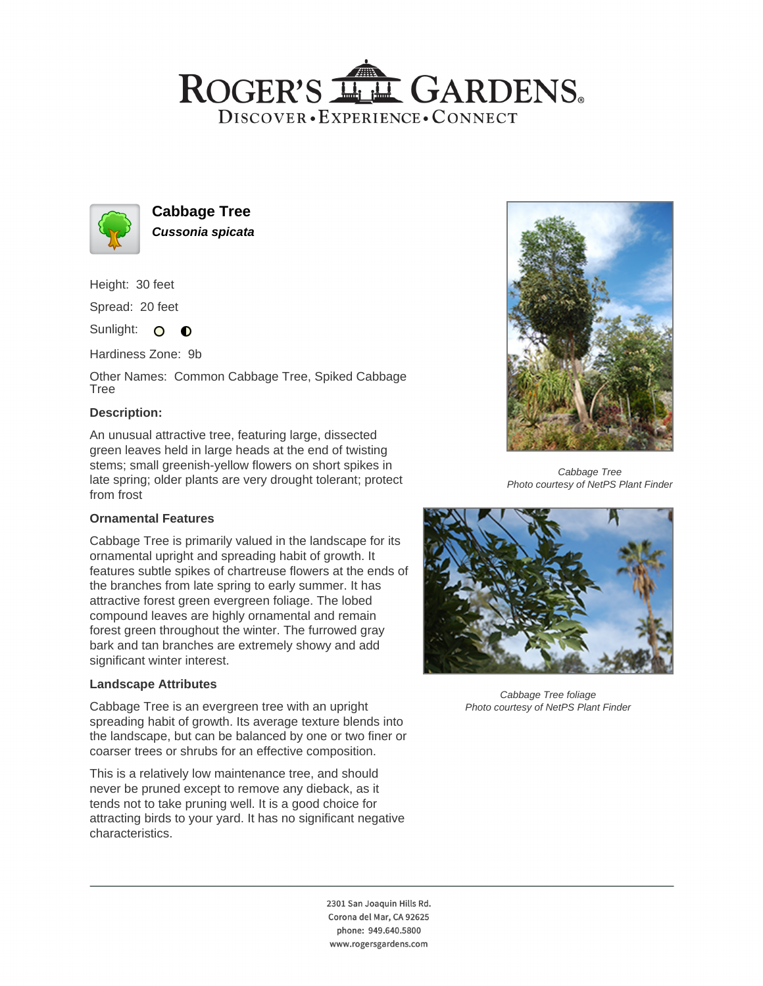# ROGER'S LL GARDENS. DISCOVER · EXPERIENCE · CONNECT



**Cabbage Tree Cussonia spicata**

Height: 30 feet Spread: 20 feet

Sunlight: O **O** 

Hardiness Zone: 9b

Other Names: Common Cabbage Tree, Spiked Cabbage Tree

### **Description:**

An unusual attractive tree, featuring large, dissected green leaves held in large heads at the end of twisting stems; small greenish-yellow flowers on short spikes in late spring; older plants are very drought tolerant; protect from frost

### **Ornamental Features**

Cabbage Tree is primarily valued in the landscape for its ornamental upright and spreading habit of growth. It features subtle spikes of chartreuse flowers at the ends of the branches from late spring to early summer. It has attractive forest green evergreen foliage. The lobed compound leaves are highly ornamental and remain forest green throughout the winter. The furrowed gray bark and tan branches are extremely showy and add significant winter interest.

### **Landscape Attributes**

Cabbage Tree is an evergreen tree with an upright spreading habit of growth. Its average texture blends into the landscape, but can be balanced by one or two finer or coarser trees or shrubs for an effective composition.

This is a relatively low maintenance tree, and should never be pruned except to remove any dieback, as it tends not to take pruning well. It is a good choice for attracting birds to your yard. It has no significant negative characteristics.



Cabbage Tree Photo courtesy of NetPS Plant Finder



Cabbage Tree foliage Photo courtesy of NetPS Plant Finder

2301 San Joaquin Hills Rd. Corona del Mar, CA 92625 phone: 949.640.5800 www.rogersgardens.com